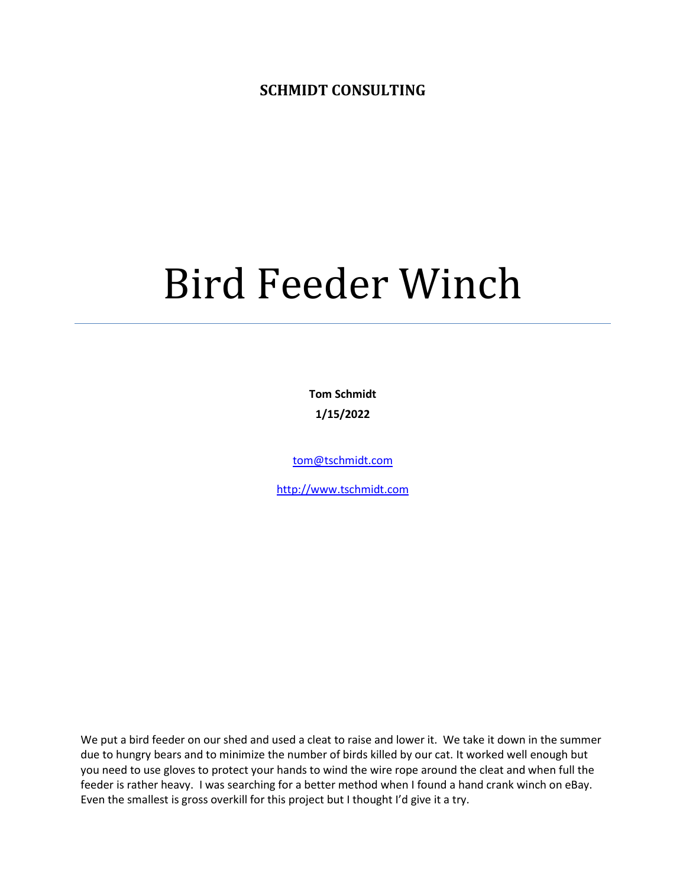**SCHMIDT CONSULTING**

## Bird Feeder Winch

**Tom Schmidt 1/15/2022**

[tom@tschmidt.com](mailto:tom@tschmidt.com)

[http://www.tschmidt.com](http://www.tschmidt.com/)

We put a bird feeder on our shed and used a cleat to raise and lower it. We take it down in the summer due to hungry bears and to minimize the number of birds killed by our cat. It worked well enough but you need to use gloves to protect your hands to wind the wire rope around the cleat and when full the feeder is rather heavy. I was searching for a better method when I found a hand crank winch on eBay. Even the smallest is gross overkill for this project but I thought I'd give it a try.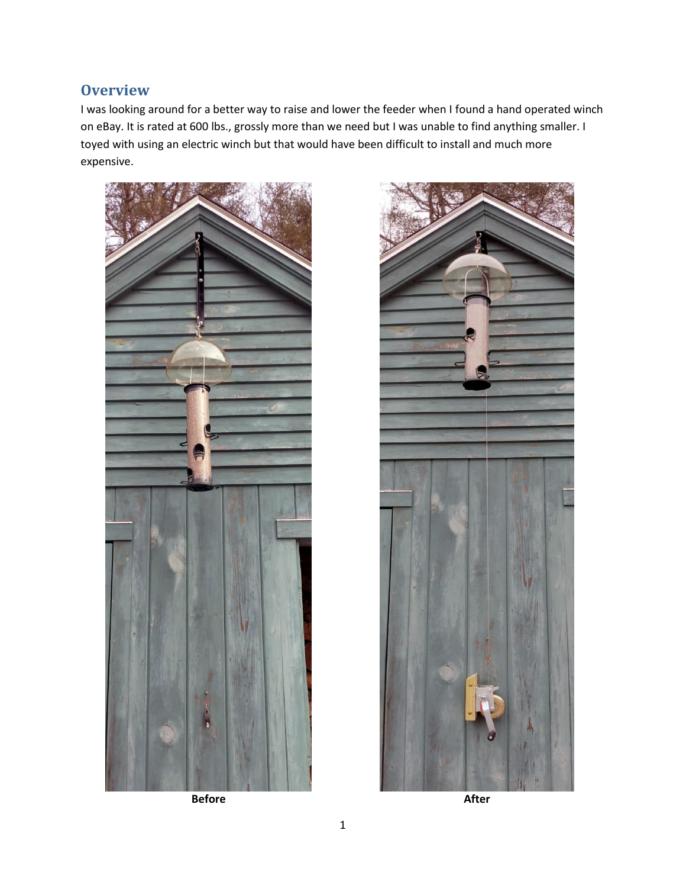## **Overview**

I was looking around for a better way to raise and lower the feeder when I found a hand operated winch on eBay. It is rated at 600 lbs., grossly more than we need but I was unable to find anything smaller. I toyed with using an electric winch but that would have been difficult to install and much more expensive.



**Before After**